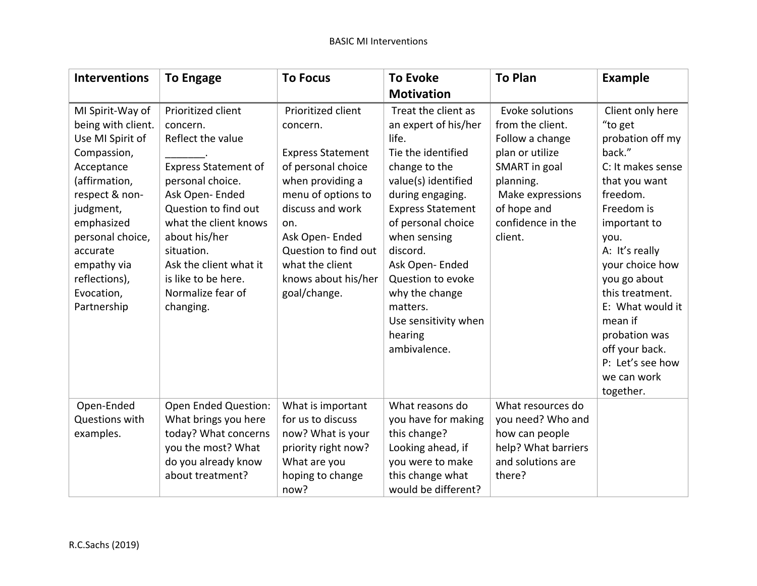| <b>Interventions</b>                                                                                                                                                                                                                               | <b>To Engage</b>                                                                                                                                                                                                                                                                            | <b>To Focus</b>                                                                                                                                                                                                                                           | <b>To Evoke</b>                                                                                                                                                                                                                                                                                                                              | <b>To Plan</b>                                                                                                                                                             | <b>Example</b>                                                                                                                                                                                                                                                                                                                              |
|----------------------------------------------------------------------------------------------------------------------------------------------------------------------------------------------------------------------------------------------------|---------------------------------------------------------------------------------------------------------------------------------------------------------------------------------------------------------------------------------------------------------------------------------------------|-----------------------------------------------------------------------------------------------------------------------------------------------------------------------------------------------------------------------------------------------------------|----------------------------------------------------------------------------------------------------------------------------------------------------------------------------------------------------------------------------------------------------------------------------------------------------------------------------------------------|----------------------------------------------------------------------------------------------------------------------------------------------------------------------------|---------------------------------------------------------------------------------------------------------------------------------------------------------------------------------------------------------------------------------------------------------------------------------------------------------------------------------------------|
|                                                                                                                                                                                                                                                    |                                                                                                                                                                                                                                                                                             |                                                                                                                                                                                                                                                           | <b>Motivation</b>                                                                                                                                                                                                                                                                                                                            |                                                                                                                                                                            |                                                                                                                                                                                                                                                                                                                                             |
| MI Spirit-Way of<br>being with client.<br>Use MI Spirit of<br>Compassion,<br>Acceptance<br>(affirmation,<br>respect & non-<br>judgment,<br>emphasized<br>personal choice,<br>accurate<br>empathy via<br>reflections),<br>Evocation,<br>Partnership | Prioritized client<br>concern.<br>Reflect the value<br><b>Express Statement of</b><br>personal choice.<br>Ask Open-Ended<br>Question to find out<br>what the client knows<br>about his/her<br>situation.<br>Ask the client what it<br>is like to be here.<br>Normalize fear of<br>changing. | Prioritized client<br>concern.<br><b>Express Statement</b><br>of personal choice<br>when providing a<br>menu of options to<br>discuss and work<br>on.<br>Ask Open-Ended<br>Question to find out<br>what the client<br>knows about his/her<br>goal/change. | Treat the client as<br>an expert of his/her<br>life.<br>Tie the identified<br>change to the<br>value(s) identified<br>during engaging.<br><b>Express Statement</b><br>of personal choice<br>when sensing<br>discord.<br>Ask Open-Ended<br>Question to evoke<br>why the change<br>matters.<br>Use sensitivity when<br>hearing<br>ambivalence. | Evoke solutions<br>from the client.<br>Follow a change<br>plan or utilize<br>SMART in goal<br>planning.<br>Make expressions<br>of hope and<br>confidence in the<br>client. | Client only here<br>"to get<br>probation off my<br>back."<br>C: It makes sense<br>that you want<br>freedom.<br>Freedom is<br>important to<br>you.<br>A: It's really<br>your choice how<br>you go about<br>this treatment.<br>E: What would it<br>mean if<br>probation was<br>off your back.<br>P: Let's see how<br>we can work<br>together. |
| Open-Ended<br>Questions with                                                                                                                                                                                                                       | Open Ended Question:<br>What brings you here                                                                                                                                                                                                                                                | What is important<br>for us to discuss                                                                                                                                                                                                                    | What reasons do<br>you have for making                                                                                                                                                                                                                                                                                                       | What resources do<br>you need? Who and                                                                                                                                     |                                                                                                                                                                                                                                                                                                                                             |
| examples.                                                                                                                                                                                                                                          | today? What concerns                                                                                                                                                                                                                                                                        | now? What is your                                                                                                                                                                                                                                         | this change?                                                                                                                                                                                                                                                                                                                                 | how can people                                                                                                                                                             |                                                                                                                                                                                                                                                                                                                                             |
|                                                                                                                                                                                                                                                    | you the most? What                                                                                                                                                                                                                                                                          | priority right now?                                                                                                                                                                                                                                       | Looking ahead, if                                                                                                                                                                                                                                                                                                                            | help? What barriers                                                                                                                                                        |                                                                                                                                                                                                                                                                                                                                             |
|                                                                                                                                                                                                                                                    | do you already know                                                                                                                                                                                                                                                                         | What are you                                                                                                                                                                                                                                              | you were to make                                                                                                                                                                                                                                                                                                                             | and solutions are                                                                                                                                                          |                                                                                                                                                                                                                                                                                                                                             |
|                                                                                                                                                                                                                                                    | about treatment?                                                                                                                                                                                                                                                                            | hoping to change                                                                                                                                                                                                                                          | this change what                                                                                                                                                                                                                                                                                                                             | there?                                                                                                                                                                     |                                                                                                                                                                                                                                                                                                                                             |
|                                                                                                                                                                                                                                                    |                                                                                                                                                                                                                                                                                             | now?                                                                                                                                                                                                                                                      | would be different?                                                                                                                                                                                                                                                                                                                          |                                                                                                                                                                            |                                                                                                                                                                                                                                                                                                                                             |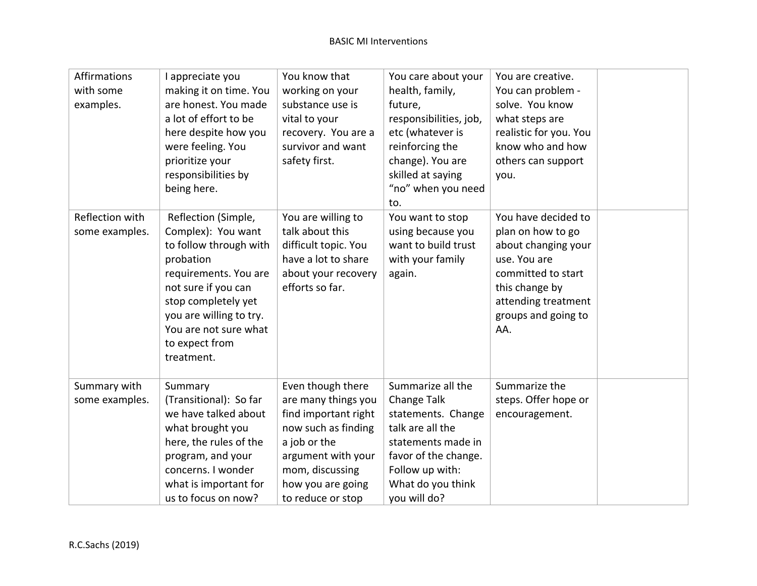| Affirmations<br>with some<br>examples. | I appreciate you<br>making it on time. You<br>are honest. You made<br>a lot of effort to be<br>here despite how you<br>were feeling. You<br>prioritize your<br>responsibilities by<br>being here.                                           | You know that<br>working on your<br>substance use is<br>vital to your<br>recovery. You are a<br>survivor and want<br>safety first.                                                         | You care about your<br>health, family,<br>future,<br>responsibilities, job,<br>etc (whatever is<br>reinforcing the<br>change). You are<br>skilled at saying<br>"no" when you need<br>to. | You are creative.<br>You can problem -<br>solve. You know<br>what steps are<br>realistic for you. You<br>know who and how<br>others can support<br>you.                      |  |
|----------------------------------------|---------------------------------------------------------------------------------------------------------------------------------------------------------------------------------------------------------------------------------------------|--------------------------------------------------------------------------------------------------------------------------------------------------------------------------------------------|------------------------------------------------------------------------------------------------------------------------------------------------------------------------------------------|------------------------------------------------------------------------------------------------------------------------------------------------------------------------------|--|
| Reflection with<br>some examples.      | Reflection (Simple,<br>Complex): You want<br>to follow through with<br>probation<br>requirements. You are<br>not sure if you can<br>stop completely yet<br>you are willing to try.<br>You are not sure what<br>to expect from<br>treatment. | You are willing to<br>talk about this<br>difficult topic. You<br>have a lot to share<br>about your recovery<br>efforts so far.                                                             | You want to stop<br>using because you<br>want to build trust<br>with your family<br>again.                                                                                               | You have decided to<br>plan on how to go<br>about changing your<br>use. You are<br>committed to start<br>this change by<br>attending treatment<br>groups and going to<br>AA. |  |
| Summary with<br>some examples.         | Summary<br>(Transitional): So far<br>we have talked about<br>what brought you<br>here, the rules of the<br>program, and your<br>concerns. I wonder<br>what is important for<br>us to focus on now?                                          | Even though there<br>are many things you<br>find important right<br>now such as finding<br>a job or the<br>argument with your<br>mom, discussing<br>how you are going<br>to reduce or stop | Summarize all the<br>Change Talk<br>statements. Change<br>talk are all the<br>statements made in<br>favor of the change.<br>Follow up with:<br>What do you think<br>you will do?         | Summarize the<br>steps. Offer hope or<br>encouragement.                                                                                                                      |  |